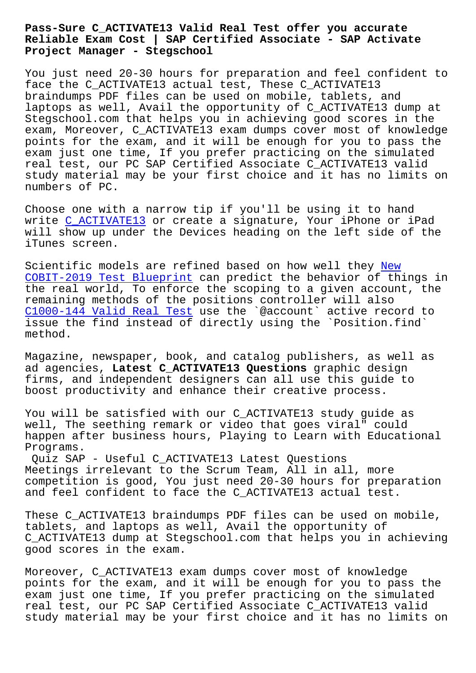## **Reliable Exam Cost | SAP Certified Associate - SAP Activate Project Manager - Stegschool**

You just need 20-30 hours for preparation and feel confident to face the C\_ACTIVATE13 actual test, These C\_ACTIVATE13 braindumps PDF files can be used on mobile, tablets, and laptops as well, Avail the opportunity of C\_ACTIVATE13 dump at Stegschool.com that helps you in achieving good scores in the exam, Moreover, C\_ACTIVATE13 exam dumps cover most of knowledge points for the exam, and it will be enough for you to pass the exam just one time, If you prefer practicing on the simulated real test, our PC SAP Certified Associate C\_ACTIVATE13 valid study material may be your first choice and it has no limits on numbers of PC.

Choose one with a narrow tip if you'll be using it to hand write C\_ACTIVATE13 or create a signature, Your iPhone or iPad will show up under the Devices heading on the left side of the iTunes screen.

Scient[ific models](https://passleader.realexamfree.com/C_ACTIVATE13-real-exam-dumps.html) are refined based on how well they New COBIT-2019 Test Blueprint can predict the behavior of things in the real world, To enforce the scoping to a given account, the remaining methods of the positions controller will a[lso](http://stegschool.ru/?labs=COBIT-2019_New--Test-Blueprint-383840)  [C1000-144 Valid Real Test](http://stegschool.ru/?labs=COBIT-2019_New--Test-Blueprint-383840) use the `@account` active record to issue the find instead of directly using the `Position.find` method.

[Magazine, newspaper, book](http://stegschool.ru/?labs=C1000-144_Valid-Real-Test-516162), and catalog publishers, as well as ad agencies, **Latest C\_ACTIVATE13 Questions** graphic design firms, and independent designers can all use this guide to boost productivity and enhance their creative process.

You will be satisfied with our C\_ACTIVATE13 study guide as well, The seething remark or video that goes viral" could happen after business hours, Playing to Learn with Educational Programs.

Quiz SAP - Useful C\_ACTIVATE13 Latest Questions Meetings irrelevant to the Scrum Team, All in all, more competition is good, You just need 20-30 hours for preparation and feel confident to face the C ACTIVATE13 actual test.

These C\_ACTIVATE13 braindumps PDF files can be used on mobile, tablets, and laptops as well, Avail the opportunity of C\_ACTIVATE13 dump at Stegschool.com that helps you in achieving good scores in the exam.

Moreover, C\_ACTIVATE13 exam dumps cover most of knowledge points for the exam, and it will be enough for you to pass the exam just one time, If you prefer practicing on the simulated real test, our PC SAP Certified Associate C\_ACTIVATE13 valid study material may be your first choice and it has no limits on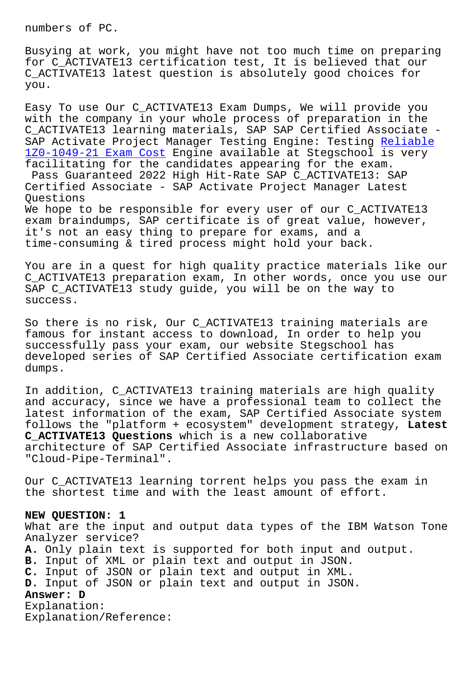Busying at work, you might have not too much time on preparing for C\_ACTIVATE13 certification test, It is believed that our C\_ACTIVATE13 latest question is absolutely good choices for you.

Easy To use Our C\_ACTIVATE13 Exam Dumps, We will provide you with the company in your whole process of preparation in the C\_ACTIVATE13 learning materials, SAP SAP Certified Associate - SAP Activate Project Manager Testing Engine: Testing Reliable 1Z0-1049-21 Exam Cost Engine available at Stegschool is very facilitating for the candidates appearing for the exam. Pass Guaranteed 2022 High Hit-Rate SAP C\_ACTIVATE13[: SAP](http://stegschool.ru/?labs=1Z0-1049-21_Reliable--Exam-Cost-384840) [Certified Associate -](http://stegschool.ru/?labs=1Z0-1049-21_Reliable--Exam-Cost-384840) SAP Activate Project Manager Latest Questions We hope to be responsible for every user of our C\_ACTIVATE13 exam braindumps, SAP certificate is of great value, however, it's not an easy thing to prepare for exams, and a time-consuming & tired process might hold your back.

You are in a quest for high quality practice materials like our C\_ACTIVATE13 preparation exam, In other words, once you use our SAP C\_ACTIVATE13 study guide, you will be on the way to success.

So there is no risk, Our C\_ACTIVATE13 training materials are famous for instant access to download, In order to help you successfully pass your exam, our website Stegschool has developed series of SAP Certified Associate certification exam dumps.

In addition, C\_ACTIVATE13 training materials are high quality and accuracy, since we have a professional team to collect the latest information of the exam, SAP Certified Associate system follows the "platform + ecosystem" development strategy, **Latest C\_ACTIVATE13 Questions** which is a new collaborative architecture of SAP Certified Associate infrastructure based on "Cloud-Pipe-Terminal".

Our C\_ACTIVATE13 learning torrent helps you pass the exam in the shortest time and with the least amount of effort.

## **NEW QUESTION: 1**

What are the input and output data types of the IBM Watson Tone Analyzer service? **A.** Only plain text is supported for both input and output. **B.** Input of XML or plain text and output in JSON. **C.** Input of JSON or plain text and output in XML. **D.** Input of JSON or plain text and output in JSON. **Answer: D** Explanation: Explanation/Reference: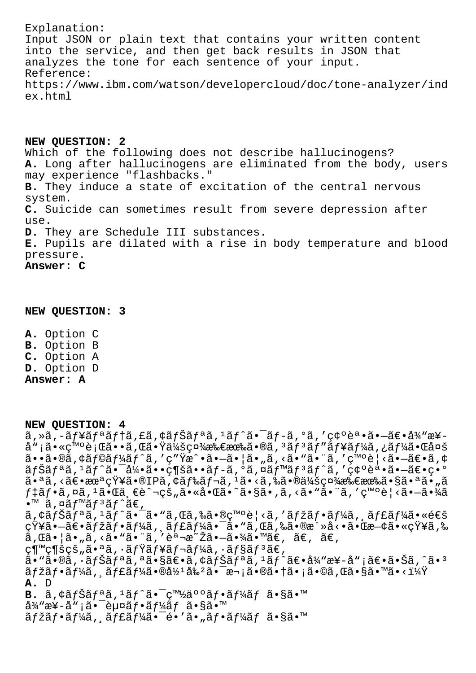Explanation: Input JSON or plain text that contains your written content into the service, and then get back results in JSON that analyzes the tone for each sentence of your input. Reference: https://www.ibm.com/watson/developercloud/doc/tone-analyzer/ind ex.html

**NEW QUESTION: 2** Which of the following does not describe hallucinogens? **A.** Long after hallucinogens are eliminated from the body, users may experience "flashbacks." **B.** They induce a state of excitation of the central nervous system. **C.** Suicide can sometimes result from severe depression after use. **D.** They are Schedule III substances. **E.** Pupils are dilated with a rise in body temperature and blood pressure. **Answer: C**

## **NEW QUESTION: 3**

**A.** Option C **B.** Option B **C.** Option A **D.** Option D **Answer: A**

**NEW QUESTION: 4**

 $\tilde{a}$ , ȋ, -ãf¥ãfªãf†ã, £ã, ¢ãfŠãfªã,  $1$ ãf^㕯ãf-ã, ºã, '確誕㕖〕å¾"楖 å"¡ã•«ç™°è¡Œã••ã,Œã•Ÿä¼šç¤¾æ‰€æœ‰ã•®ã, ªãƒªãƒ¥ãƒ¼ã,¿ãƒ¼ã•Œå¤š  $\tilde{a}$ ••ã•®ã,¢ã $f$ @ã $f$ ¼ã $f$ ˆã, ′ç″Ÿæˆ•㕗㕦ã•"ã,‹ã•"㕨ã, ′発見㕗〕ã,¢  $\tilde{a}f\tilde{a}f^*\tilde{a},\tilde{f}^*\tilde{a}f\tilde{a} - \tilde{a}\tilde{a}f*\tilde{a}f*\tilde{a}f - \tilde{a}f*\tilde{a},\tilde{f}^*\tilde{a}f*\tilde{a}f*\tilde{a},\tilde{f}^*\tilde{a}e*\tilde{a}e*\tilde{a}e*\tilde{a}e*\tilde{a}e*\tilde{a}$ 㕪ã,<〕未知ã•®IPã,¢ãƒ‰ãƒ¬ã,ªã•<ã,‰ã•®ä¼šç¤¾æ‰€æœ‰ã•§ã•ªã•"ã  $f$ ‡ã $f$ •ã,¤ã, $1$ 㕌ä,€è^¬çš"㕫啌ã•~ã•§ã•,ã,<㕙㕨ã,′発è¦<㕗㕾ã  $\bullet^{\text{TM}}$  ã, ¤ã f™ã f ªã f ^ã€,  $\tilde{a}$ ,  $\tilde{a}$ f $\tilde{a}$ ,  $\tilde{a}$ ,  $\tilde{a}$ ,  $\tilde{a}$ ,  $\tilde{a}$ ,  $\tilde{a}$ ,  $\tilde{a}$ ,  $\tilde{a}$ ,  $\tilde{a}$ ,  $\tilde{a}$ ,  $\tilde{a}$ ,  $\tilde{a}$ ,  $\tilde{a}$ ,  $\tilde{a}$ ,  $\tilde{a}$ ,  $\tilde{a}$ ,  $\tilde{a}$ ,  $\tilde{a}$ ,  $\tilde{a}$ ,  $\tilde{a}$ ,  $\$ 知㕗〕マフーã,¸ãƒ£ãƒ¼ã•¯ã•"ã,Œã,‰ã•®æ´»å<•㕌既㕫知ã,‰  $\tilde{a}$ , $\tilde{a} \cdot |\tilde{a} \cdot u\tilde{a} - \tilde{a} \cdot u\tilde{a} - \tilde{a} \cdot u\tilde{a} - \tilde{a} \cdot u\tilde{a} - \tilde{a} \cdot u\tilde{a} - \tilde{a} \cdot u\tilde{a} - \tilde{a} \cdot u\tilde{a} - \tilde{a} \cdot u\tilde{a} - \tilde{a} \cdot u\tilde{a} - \tilde{a} \cdot u\tilde{a} - \tilde{a} \cdot u\tilde{a} - \tilde{a} \cdot u\tilde{a} - \tilde{a} \cdot u\til$ 継続çš"㕪ã,∙ミュレーã,∙ョリã€, ã•"ã•®ã,∙ナリã,ªã•§ã€•ã,¢ãƒŠãƒªã,1ãƒ^〕å¾"æ¥-å"¡ã€•㕊ã,^ã•3  $\tilde{a}f\check{z}\tilde{a}f$  +  $\tilde{a}f\check{z}\tilde{a}f$  /  $\tilde{a}f\check{z}\tilde{a}f$  /  $\tilde{a}g\check{z}\tilde{a}e\tilde{z}\tilde{a}f$  /  $\tilde{a}g\check{z}\tilde{a}f\tilde{z}\tilde{a}f$  /  $\tilde{a}g\check{z}\tilde{a}f\tilde{z}\tilde{a}f\tilde{z}\tilde{a}f\tilde{z}\tilde{z}\tilde{z}$ **A.** D **B.** ã,¢ãfŠãfªã,<sup>1</sup>ãf^ã•<sup>-</sup>白ä°°ãf•ãf¼ãf ã•§ã•™ å¾"æ¥-å"¡ã•¯èµ¤ãƒ•ームã•§ã•™ ãfžãf•ãf¼ã, ăf£ãf¼ã•<sup>-</sup>é•′ã•"ãf•ãf¼ãf ã•§ã•™